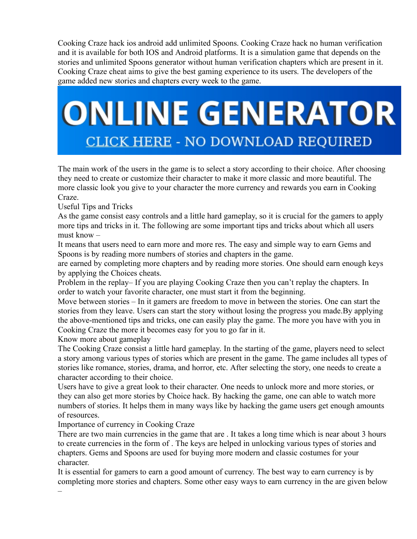Cooking Craze hack ios android add unlimited Spoons. Cooking Craze hack no human verification and it is available for both IOS and Android platforms. It is a simulation game that depends on the stories and unlimited Spoons generator without human verification chapters which are present in it. Cooking Craze cheat aims to give the best gaming experience to its users. The developers of the game added new stories and chapters every week to the game.

## **ONLINE GENERATOR CLICK HERE - NO DOWNLOAD REQUIRED**

The main work of the users in the game is to select a story according to their choice. After choosing they need to create or customize their character to make it more classic and more beautiful. The more classic look you give to your character the more currency and rewards you earn in Cooking Craze.

Useful Tips and Tricks

As the game consist easy controls and a little hard gameplay, so it is crucial for the gamers to apply more tips and tricks in it. The following are some important tips and tricks about which all users must know –

It means that users need to earn more and more res. The easy and simple way to earn Gems and Spoons is by reading more numbers of stories and chapters in the game.

are earned by completing more chapters and by reading more stories. One should earn enough keys by applying the Choices cheats.

Problem in the replay– If you are playing Cooking Craze then you can't replay the chapters. In order to watch your favorite character, one must start it from the beginning.

Move between stories – In it gamers are freedom to move in between the stories. One can start the stories from they leave. Users can start the story without losing the progress you made.By applying the above-mentioned tips and tricks, one can easily play the game. The more you have with you in Cooking Craze the more it becomes easy for you to go far in it.

Know more about gameplay

–

The Cooking Craze consist a little hard gameplay. In the starting of the game, players need to select a story among various types of stories which are present in the game. The game includes all types of stories like romance, stories, drama, and horror, etc. After selecting the story, one needs to create a character according to their choice.

Users have to give a great look to their character. One needs to unlock more and more stories, or they can also get more stories by Choice hack. By hacking the game, one can able to watch more numbers of stories. It helps them in many ways like by hacking the game users get enough amounts of resources.

Importance of currency in Cooking Craze

There are two main currencies in the game that are . It takes a long time which is near about 3 hours to create currencies in the form of . The keys are helped in unlocking various types of stories and chapters. Gems and Spoons are used for buying more modern and classic costumes for your character.

It is essential for gamers to earn a good amount of currency. The best way to earn currency is by completing more stories and chapters. Some other easy ways to earn currency in the are given below